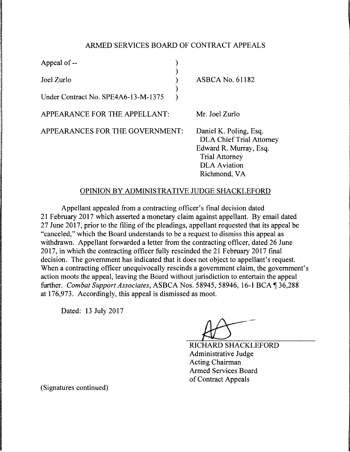## ARMED SERVICES BOARD OF CONTRACT APPEALS

| Appeal of --                                |  |                                                                                                                                                     |
|---------------------------------------------|--|-----------------------------------------------------------------------------------------------------------------------------------------------------|
| Joel Zurlo                                  |  | ASBCA No. 61182                                                                                                                                     |
| Under Contract No. SPE4A6-13-M-1375         |  |                                                                                                                                                     |
| APPEARANCE FOR THE APPELLANT:               |  | Mr. Joel Zurlo                                                                                                                                      |
| APPEARANCES FOR THE GOVERNMENT:             |  | Daniel K. Poling, Esq.<br><b>DLA Chief Trial Attorney</b><br>Edward R. Murray, Esq.<br><b>Trial Attorney</b><br><b>DLA</b> Aviation<br>Richmond, VA |
| OPINION BY ADMINISTRATIVE JUDGE SHACKLEFORD |  |                                                                                                                                                     |

Appellant appealed from a contracting officer's final decision dated 21 February 2017 which asserted a monetary claim against appellant. By email dated 27 June 2017, prior to the filing of the pleadings, appellant requested that its appeal be "canceled," which the Board understands to be a request to dismiss this appeal as withdrawn. Appellant forwarded a letter from the contracting officer, dated 26 June 2017, in which the contracting officer fully rescinded the 21 February 2017 final decision. The government has indicated that it does not object to appellant's request. When a contracting officer unequivocally rescinds a government claim, the government's action moots the appeal, leaving the Board without jurisdiction to entertain the appeal further. *Combat Support Associates, ASBCA Nos.* 58945, 58946, 16-1 BCA 136,288 at 176,973. Accordingly, this appeal is dismissed as moot.

Dated: 13 July 2017

RICHARD SHACKLEFORD Administrative Judge Acting Chairman Armed Services Board of Contract Appeals

(Signatures continued)